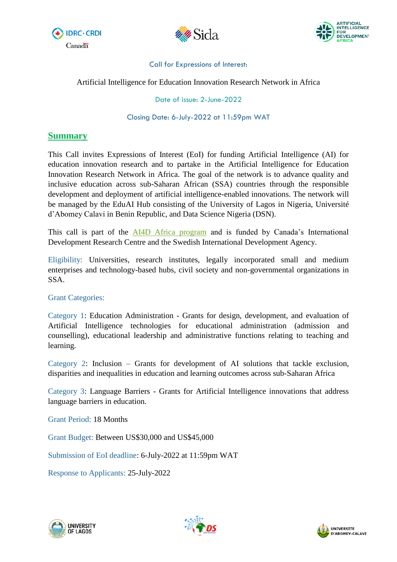





### Call for Expressions of Interest:

Artificial Intelligence for Education Innovation Research Network in Africa

Date of issue: 2-June-2022

Closing Date: 6-July-2022 at 11:59pm WAT

# **Summary**

This Call invites Expressions of Interest (EoI) for funding Artificial Intelligence (AI) for education innovation research and to partake in the Artificial Intelligence for Education Innovation Research Network in Africa. The goal of the network is to advance quality and inclusive education across sub-Saharan African (SSA) countries through the responsible development and deployment of artificial intelligence-enabled innovations. The network will be managed by the EduAI Hub consisting of the University of Lagos in Nigeria, Université d'Abomey Calavi in Benin Republic, and Data Science Nigeria (DSN).

This call is part of the **AI4D** Africa program and is funded by Canada's International Development Research Centre and the Swedish International Development Agency.

Eligibility: Universities, research institutes, legally incorporated small and medium enterprises and technology-based hubs, civil society and non-governmental organizations in SSA.

## Grant Categories:

Category 1: Education Administration - Grants for design, development, and evaluation of Artificial Intelligence technologies for educational administration (admission and counselling), educational leadership and administrative functions relating to teaching and learning.

Category 2: Inclusion – Grants for development of AI solutions that tackle exclusion, disparities and inequalities in education and learning outcomes across sub-Saharan Africa

Category 3: Language Barriers - Grants for Artificial Intelligence innovations that address language barriers in education.

Grant Period: 18 Months

Grant Budget: Between US\$30,000 and US\$45,000

Submission of EoI deadline: 6-July-2022 at 11:59pm WAT

Response to Applicants: 25-July-2022





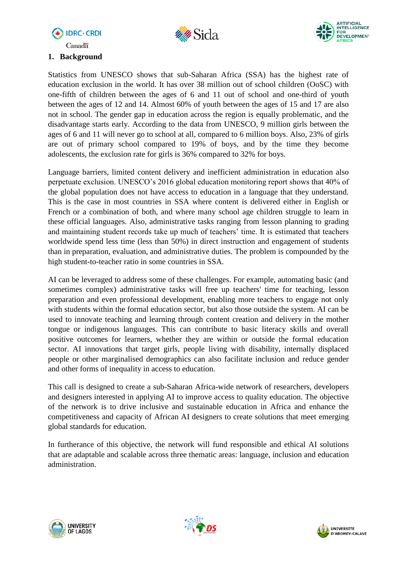





### **1. Background**

Statistics from UNESCO shows that sub-Saharan Africa (SSA) has the highest rate of education exclusion in the world. It has over 38 million out of school children (OoSC) with one-fifth of children between the ages of 6 and 11 out of school and one-third of youth between the ages of 12 and 14. Almost 60% of youth between the ages of 15 and 17 are also not in school. The gender gap in education across the region is equally problematic, and the disadvantage starts early. According to the data from UNESCO, 9 million girls between the ages of 6 and 11 will never go to school at all, compared to 6 million boys. Also, 23% of girls are out of primary school compared to 19% of boys, and by the time they become adolescents, the exclusion rate for girls is 36% compared to 32% for boys.

Language barriers, limited content delivery and inefficient administration in education also perpetuate exclusion. UNESCO's 2016 global education monitoring report shows that 40% of the global population does not have access to education in a language that they understand. This is the case in most countries in SSA where content is delivered either in English or French or a combination of both, and where many school age children struggle to learn in these official languages. Also, administrative tasks ranging from lesson planning to grading and maintaining student records take up much of teachers' time. It is estimated that teachers worldwide spend less time (less than 50%) in direct instruction and engagement of students than in preparation, evaluation, and administrative duties. The problem is compounded by the high student-to-teacher ratio in some countries in SSA.

AI can be leveraged to address some of these challenges. For example, automating basic (and sometimes complex) administrative tasks will free up teachers' time for teaching, lesson preparation and even professional development, enabling more teachers to engage not only with students within the formal education sector, but also those outside the system. AI can be used to innovate teaching and learning through content creation and delivery in the mother tongue or indigenous languages. This can contribute to basic literacy skills and overall positive outcomes for learners, whether they are within or outside the formal education sector. AI innovations that target girls, people living with disability, internally displaced people or other marginalised demographics can also facilitate inclusion and reduce gender and other forms of inequality in access to education.

This call is designed to create a sub-Saharan Africa-wide network of researchers, developers and designers interested in applying AI to improve access to quality education. The objective of the network is to drive inclusive and sustainable education in Africa and enhance the competitiveness and capacity of African AI designers to create solutions that meet emerging global standards for education.

In furtherance of this objective, the network will fund responsible and ethical AI solutions that are adaptable and scalable across three thematic areas: language, inclusion and education administration.





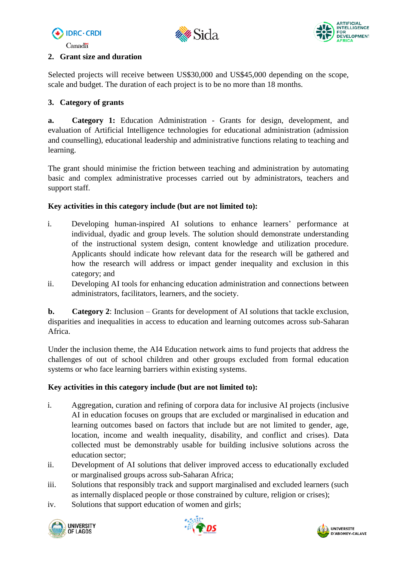





## **2. Grant size and duration**

Selected projects will receive between US\$30,000 and US\$45,000 depending on the scope, scale and budget. The duration of each project is to be no more than 18 months.

# **3. Category of grants**

**a. Category 1:** Education Administration - Grants for design, development, and evaluation of Artificial Intelligence technologies for educational administration (admission and counselling), educational leadership and administrative functions relating to teaching and learning.

The grant should minimise the friction between teaching and administration by automating basic and complex administrative processes carried out by administrators, teachers and support staff.

# **Key activities in this category include (but are not limited to):**

- i. Developing human-inspired AI solutions to enhance learners' performance at individual, dyadic and group levels. The solution should demonstrate understanding of the instructional system design, content knowledge and utilization procedure. Applicants should indicate how relevant data for the research will be gathered and how the research will address or impact gender inequality and exclusion in this category; and
- ii. Developing AI tools for enhancing education administration and connections between administrators, facilitators, learners, and the society.

**b. Category 2**: Inclusion – Grants for development of AI solutions that tackle exclusion, disparities and inequalities in access to education and learning outcomes across sub-Saharan Africa.

Under the inclusion theme, the AI4 Education network aims to fund projects that address the challenges of out of school children and other groups excluded from formal education systems or who face learning barriers within existing systems.

# **Key activities in this category include (but are not limited to):**

- i. Aggregation, curation and refining of corpora data for inclusive AI projects (inclusive AI in education focuses on groups that are excluded or marginalised in education and learning outcomes based on factors that include but are not limited to gender, age, location, income and wealth inequality, disability, and conflict and crises). Data collected must be demonstrably usable for building inclusive solutions across the education sector;
- ii. Development of AI solutions that deliver improved access to educationally excluded or marginalised groups across sub-Saharan Africa;
- iii. Solutions that responsibly track and support marginalised and excluded learners (such as internally displaced people or those constrained by culture, religion or crises);
- iv. Solutions that support education of women and girls;





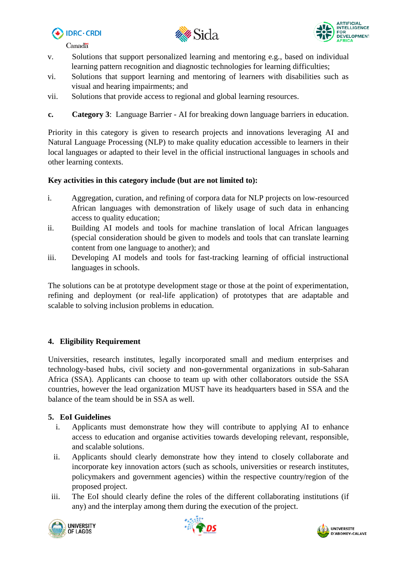





- v. Solutions that support personalized learning and mentoring e.g., based on individual learning pattern recognition and diagnostic technologies for learning difficulties;
- vi. Solutions that support learning and mentoring of learners with disabilities such as visual and hearing impairments; and
- vii. Solutions that provide access to regional and global learning resources.
- **c. Category 3**: Language Barrier AI for breaking down language barriers in education.

Priority in this category is given to research projects and innovations leveraging AI and Natural Language Processing (NLP) to make quality education accessible to learners in their local languages or adapted to their level in the official instructional languages in schools and other learning contexts.

## **Key activities in this category include (but are not limited to):**

- i. Aggregation, curation, and refining of corpora data for NLP projects on low-resourced African languages with demonstration of likely usage of such data in enhancing access to quality education;
- ii. Building AI models and tools for machine translation of local African languages (special consideration should be given to models and tools that can translate learning content from one language to another); and
- iii. Developing AI models and tools for fast-tracking learning of official instructional languages in schools.

The solutions can be at prototype development stage or those at the point of experimentation, refining and deployment (or real-life application) of prototypes that are adaptable and scalable to solving inclusion problems in education.

# **4. Eligibility Requirement**

Universities, research institutes, legally incorporated small and medium enterprises and technology-based hubs, civil society and non-governmental organizations in sub-Saharan Africa (SSA). Applicants can choose to team up with other collaborators outside the SSA countries, however the lead organization MUST have its headquarters based in SSA and the balance of the team should be in SSA as well.

## **5. EoI Guidelines**

- i. Applicants must demonstrate how they will contribute to applying AI to enhance access to education and organise activities towards developing relevant, responsible, and scalable solutions.
- ii. Applicants should clearly demonstrate how they intend to closely collaborate and incorporate key innovation actors (such as schools, universities or research institutes, policymakers and government agencies) within the respective country/region of the proposed project.
- iii. The EoI should clearly define the roles of the different collaborating institutions (if any) and the interplay among them during the execution of the project.





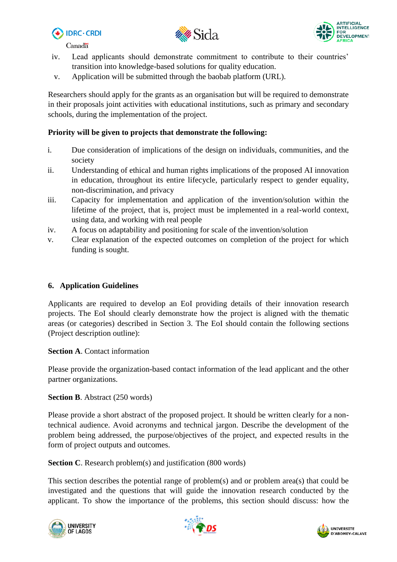





Canadä<sup>\*</sup>

- iv. Lead applicants should demonstrate commitment to contribute to their countries' transition into knowledge-based solutions for quality education.
- v. Application will be submitted through the baobab platform (URL).

Researchers should apply for the grants as an organisation but will be required to demonstrate in their proposals joint activities with educational institutions, such as primary and secondary schools, during the implementation of the project.

## **Priority will be given to projects that demonstrate the following:**

- i. Due consideration of implications of the design on individuals, communities, and the society
- ii. Understanding of ethical and human rights implications of the proposed AI innovation in education, throughout its entire lifecycle, particularly respect to gender equality, non-discrimination, and privacy
- iii. Capacity for implementation and application of the invention/solution within the lifetime of the project, that is, project must be implemented in a real-world context, using data, and working with real people
- iv. A focus on adaptability and positioning for scale of the invention/solution
- v. Clear explanation of the expected outcomes on completion of the project for which funding is sought.

## **6. Application Guidelines**

Applicants are required to develop an EoI providing details of their innovation research projects. The EoI should clearly demonstrate how the project is aligned with the thematic areas (or categories) described in Section 3. The EoI should contain the following sections (Project description outline):

**Section A**. Contact information

Please provide the organization-based contact information of the lead applicant and the other partner organizations.

## **Section B**. Abstract (250 words)

Please provide a short abstract of the proposed project. It should be written clearly for a nontechnical audience. Avoid acronyms and technical jargon. Describe the development of the problem being addressed, the purpose/objectives of the project, and expected results in the form of project outputs and outcomes.

**Section C**. Research problem(s) and justification (800 words)

This section describes the potential range of problem(s) and or problem area(s) that could be investigated and the questions that will guide the innovation research conducted by the applicant. To show the importance of the problems, this section should discuss: how the





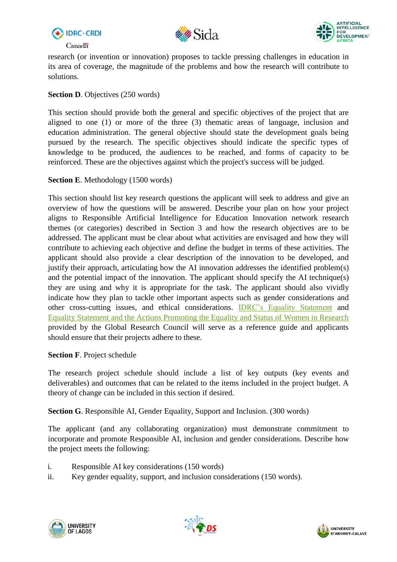





research (or invention or innovation) proposes to tackle pressing challenges in education in its area of coverage, the magnitude of the problems and how the research will contribute to solutions.

## **Section D**. Objectives (250 words)

This section should provide both the general and specific objectives of the project that are aligned to one (1) or more of the three (3) thematic areas of language, inclusion and education administration. The general objective should state the development goals being pursued by the research. The specific objectives should indicate the specific types of knowledge to be produced, the audiences to be reached, and forms of capacity to be reinforced. These are the objectives against which the project's success will be judged.

## **Section E**. Methodology (1500 words)

This section should list key research questions the applicant will seek to address and give an overview of how the questions will be answered. Describe your plan on how your project aligns to Responsible Artificial Intelligence for Education Innovation network research themes (or categories) described in Section 3 and how the research objectives are to be addressed. The applicant must be clear about what activities are envisaged and how they will contribute to achieving each objective and define the budget in terms of these activities. The applicant should also provide a clear description of the innovation to be developed, and justify their approach, articulating how the AI innovation addresses the identified problem(s) and the potential impact of the innovation. The applicant should specify the AI technique(s) they are using and why it is appropriate for the task. The applicant should also vividly indicate how they plan to tackle other important aspects such as gender considerations and other cross-cutting issues, and ethical considerations. [IDRC's Equality Statement](https://idrc.ca/en/equality-statement) and [Equality Statement and the Actions Promoting the Equality and Status of Women in Research](https://globalresearchcouncil.org/fileadmin/documents/GRC_Publications/Statement_of_Principles_and_Actions_Promoting_the_Equality_and_Status_of_Women_in_Research.pdf) provided by the Global Research Council will serve as a reference guide and applicants should ensure that their projects adhere to these.

## **Section F**. Project schedule

The research project schedule should include a list of key outputs (key events and deliverables) and outcomes that can be related to the items included in the project budget. A theory of change can be included in this section if desired.

**Section G**. Responsible AI, Gender Equality, Support and Inclusion. (300 words)

The applicant (and any collaborating organization) must demonstrate commitment to incorporate and promote Responsible AI, inclusion and gender considerations. Describe how the project meets the following:

- i. Responsible AI key considerations (150 words)
- ii. Key gender equality, support, and inclusion considerations (150 words).





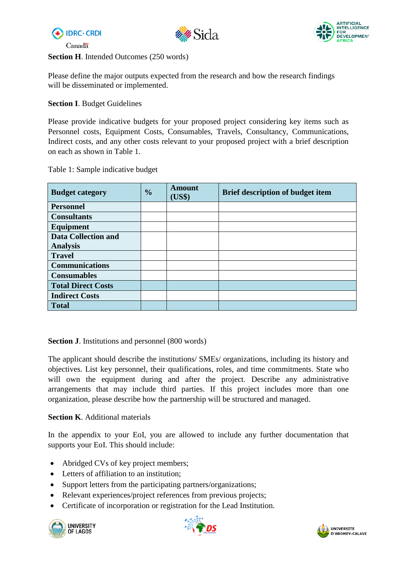





**Section H**. Intended Outcomes (250 words)

Please define the major outputs expected from the research and how the research findings will be disseminated or implemented.

## **Section I**. Budget Guidelines

Please provide indicative budgets for your proposed project considering key items such as Personnel costs, Equipment Costs, Consumables, Travels, Consultancy, Communications, Indirect costs, and any other costs relevant to your proposed project with a brief description on each as shown in Table 1.

Table 1: Sample indicative budget

| <b>Budget category</b>     | $\frac{0}{0}$ | <b>Amount</b><br><b>US\$)</b> | <b>Brief description of budget item</b> |
|----------------------------|---------------|-------------------------------|-----------------------------------------|
| <b>Personnel</b>           |               |                               |                                         |
| <b>Consultants</b>         |               |                               |                                         |
| Equipment                  |               |                               |                                         |
| <b>Data Collection and</b> |               |                               |                                         |
| <b>Analysis</b>            |               |                               |                                         |
| <b>Travel</b>              |               |                               |                                         |
| <b>Communications</b>      |               |                               |                                         |
| <b>Consumables</b>         |               |                               |                                         |
| <b>Total Direct Costs</b>  |               |                               |                                         |
| <b>Indirect Costs</b>      |               |                               |                                         |
| <b>Total</b>               |               |                               |                                         |

#### **Section J**. Institutions and personnel (800 words)

The applicant should describe the institutions/ SMEs/ organizations, including its history and objectives. List key personnel, their qualifications, roles, and time commitments. State who will own the equipment during and after the project. Describe any administrative arrangements that may include third parties. If this project includes more than one organization, please describe how the partnership will be structured and managed.

#### **Section K**. Additional materials

In the appendix to your EoI, you are allowed to include any further documentation that supports your EoI. This should include:

- Abridged CVs of key project members;
- Letters of affiliation to an institution;
- Support letters from the participating partners/organizations;
- Relevant experiences/project references from previous projects;
- Certificate of incorporation or registration for the Lead Institution.





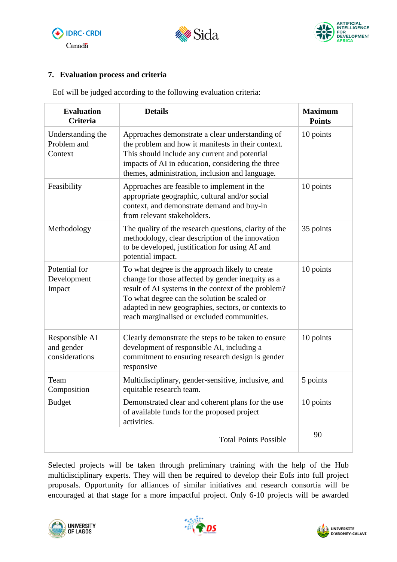





## **7. Evaluation process and criteria**

EoI will be judged according to the following evaluation criteria:

| <b>Evaluation</b><br><b>Criteria</b>           | <b>Details</b>                                                                                                                                                                                                                                                                                                    | <b>Maximum</b><br><b>Points</b> |
|------------------------------------------------|-------------------------------------------------------------------------------------------------------------------------------------------------------------------------------------------------------------------------------------------------------------------------------------------------------------------|---------------------------------|
| Understanding the<br>Problem and<br>Context    | Approaches demonstrate a clear understanding of<br>the problem and how it manifests in their context.<br>This should include any current and potential<br>impacts of AI in education, considering the three<br>themes, administration, inclusion and language.                                                    | 10 points                       |
| Feasibility                                    | Approaches are feasible to implement in the<br>appropriate geographic, cultural and/or social<br>context, and demonstrate demand and buy-in<br>from relevant stakeholders.                                                                                                                                        | 10 points                       |
| Methodology                                    | The quality of the research questions, clarity of the<br>methodology, clear description of the innovation<br>to be developed, justification for using AI and<br>potential impact.                                                                                                                                 | 35 points                       |
| Potential for<br>Development<br>Impact         | To what degree is the approach likely to create<br>change for those affected by gender inequity as a<br>result of AI systems in the context of the problem?<br>To what degree can the solution be scaled or<br>adapted in new geographies, sectors, or contexts to<br>reach marginalised or excluded communities. | 10 points                       |
| Responsible AI<br>and gender<br>considerations | Clearly demonstrate the steps to be taken to ensure<br>development of responsible AI, including a<br>commitment to ensuring research design is gender<br>responsive                                                                                                                                               | 10 points                       |
| Team<br>Composition                            | Multidisciplinary, gender-sensitive, inclusive, and<br>equitable research team.                                                                                                                                                                                                                                   | 5 points                        |
| <b>Budget</b>                                  | Demonstrated clear and coherent plans for the use<br>of available funds for the proposed project<br>activities.                                                                                                                                                                                                   | 10 points                       |
|                                                | <b>Total Points Possible</b>                                                                                                                                                                                                                                                                                      | 90                              |

Selected projects will be taken through preliminary training with the help of the Hub multidisciplinary experts. They will then be required to develop their EoIs into full project proposals. Opportunity for alliances of similar initiatives and research consortia will be encouraged at that stage for a more impactful project. Only 6-10 projects will be awarded





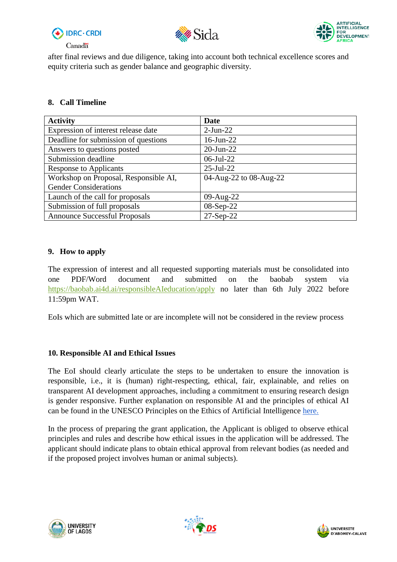





after final reviews and due diligence, taking into account both technical excellence scores and equity criteria such as gender balance and geographic diversity.

### **8. Call Timeline**

| <b>Activity</b>                       | Date                   |
|---------------------------------------|------------------------|
| Expression of interest release date   | $2-Jun-22$             |
| Deadline for submission of questions  | $16$ -Jun-22           |
| Answers to questions posted           | $20$ -Jun-22           |
| Submission deadline                   | $06$ -Jul-22           |
| <b>Response to Applicants</b>         | $25$ -Jul- $22$        |
| Workshop on Proposal, Responsible AI, | 04-Aug-22 to 08-Aug-22 |
| <b>Gender Considerations</b>          |                        |
| Launch of the call for proposals      | 09-Aug-22              |
| Submission of full proposals          | 08-Sep-22              |
| <b>Announce Successful Proposals</b>  | $27-Sep-22$            |

### **9. How to apply**

The expression of interest and all requested supporting materials must be consolidated into one PDF/Word document and submitted on the baobab system via <https://baobab.ai4d.ai/responsibleAIeducation/apply> no later than 6th July 2022 before 11:59pm WAT.

EoIs which are submitted late or are incomplete will not be considered in the review process

## **10. Responsible AI and Ethical Issues**

The EoI should clearly articulate the steps to be undertaken to ensure the innovation is responsible, i.e., it is (human) right-respecting, ethical, fair, explainable, and relies on transparent AI development approaches, including a commitment to ensuring research design is gender responsive. Further explanation on responsible AI and the principles of ethical AI can be found in the UNESCO Principles on the Ethics of Artificial Intelligence [here.](https://unesdoc.unesco.org/ark:/48223/pf0000380455)

In the process of preparing the grant application, the Applicant is obliged to observe ethical principles and rules and describe how ethical issues in the application will be addressed. The applicant should indicate plans to obtain ethical approval from relevant bodies (as needed and if the proposed project involves human or animal subjects).